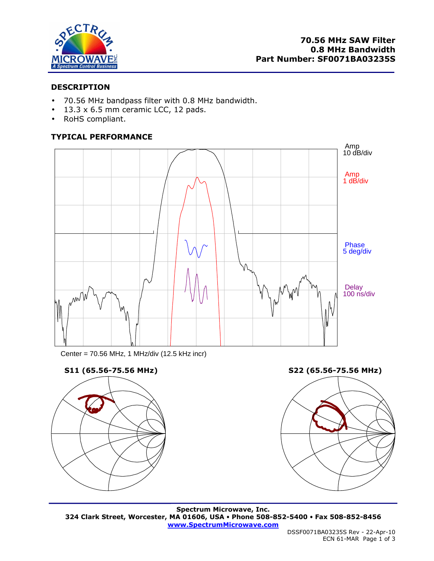

# **DESCRIPTION**

- 70.56 MHz bandpass filter with 0.8 MHz bandwidth.
- $\bullet$  13.3 x 6.5 mm ceramic LCC, 12 pads.
- RoHS compliant.

# **TYPICAL PERFORMANCE**



Center = 70.56 MHz, 1 MHz/div (12.5 kHz incr)





**Spectrum Microwave, Inc. 324 Clark Street, Worcester, MA 01606, USA Phone 508-852-5400 Fax 508-852-8456 www.SpectrumMicrowave.com**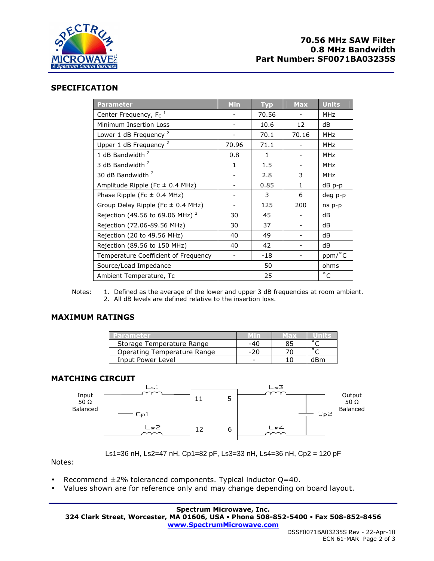

## **70.56 MHz SAW Filter 0.8 MHz Bandwidth Part Number: SF0071BA03235S**

#### **SPECIFICATION**

| <b>Parameter</b>                            | <b>Min</b>               | <b>Typ</b>   | <b>Max</b>   | <b>Units</b> |
|---------------------------------------------|--------------------------|--------------|--------------|--------------|
| Center Frequency, $F_c$ <sup>1</sup>        |                          | 70.56        |              | <b>MHz</b>   |
| Minimum Insertion Loss                      | $\overline{\phantom{0}}$ | 10.6         | 12           | dB           |
| Lower 1 dB Frequency <sup>2</sup>           |                          | 70.1         | 70.16        | <b>MHz</b>   |
| Upper 1 dB Frequency <sup>2</sup>           | 70.96                    | 71.1         |              | <b>MHz</b>   |
| 1 dB Bandwidth <sup>2</sup>                 | 0.8                      | $\mathbf{1}$ |              | MHz          |
| 3 dB Bandwidth <sup>2</sup>                 | $\mathbf{1}$             | 1.5          |              | <b>MHz</b>   |
| 30 dB Bandwidth <sup>2</sup>                |                          | 2.8          | 3            | <b>MHz</b>   |
| Amplitude Ripple (Fc $\pm$ 0.4 MHz)         |                          | 0.85         | $\mathbf{1}$ | dB p-p       |
| Phase Ripple (Fc $\pm$ 0.4 MHz)             |                          | 3            | 6            | deg p-p      |
| Group Delay Ripple (Fc $\pm$ 0.4 MHz)       |                          | 125          | 200          | ns p-p       |
| Rejection (49.56 to 69.06 MHz) <sup>2</sup> | 30                       | 45           |              | dB           |
| Rejection (72.06-89.56 MHz)                 | 30                       | 37           |              | dB           |
| Rejection (20 to 49.56 MHz)                 | 40                       | 49           |              | dB           |
| Rejection (89.56 to 150 MHz)                | 40                       | 42           |              | dB           |
| Temperature Coefficient of Frequency        | $\qquad \qquad -$        | $-18$        |              | ppm/°C       |
| Source/Load Impedance                       | 50                       |              |              | ohms         |
| Ambient Temperature, Tc                     | 25                       |              |              | $^{\circ}$ C |

Notes: 1. Defined as the average of the lower and upper 3 dB frequencies at room ambient. 2. All dB levels are defined relative to the insertion loss.

## **MAXIMUM RATINGS**

| Parameter                   | Min | Max | UTATI K |
|-----------------------------|-----|-----|---------|
| Storage Temperature Range   | -40 |     |         |
| Operating Temperature Range | -20 |     |         |
| Input Power Level           |     |     | dBm     |

#### **MATCHING CIRCUIT**



Ls1=36 nH, Ls2=47 nH, Cp1=82 pF, Ls3=33 nH, Ls4=36 nH, Cp2 = 120 pF

Notes:

- Recommend  $\pm 2\%$  toleranced components. Typical inductor Q=40.
- Values shown are for reference only and may change depending on board layout.